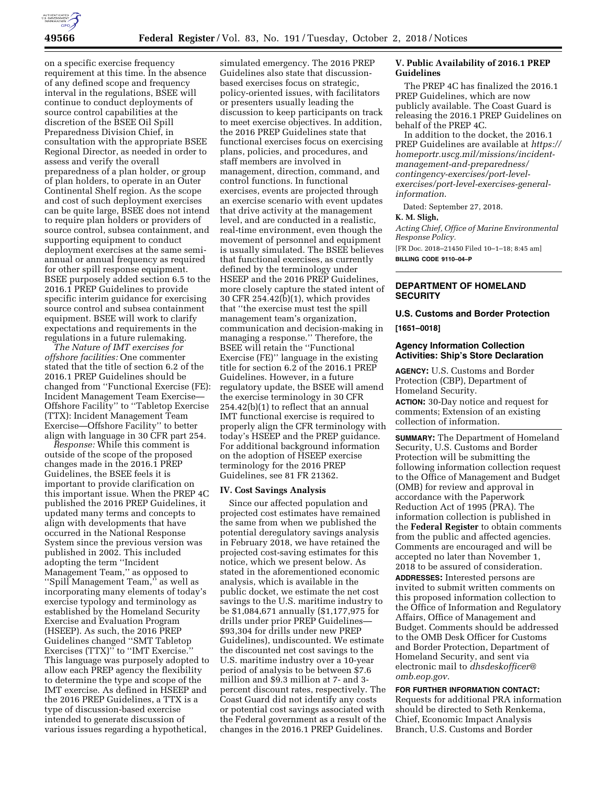

on a specific exercise frequency requirement at this time. In the absence of any defined scope and frequency interval in the regulations, BSEE will continue to conduct deployments of source control capabilities at the discretion of the BSEE Oil Spill Preparedness Division Chief, in consultation with the appropriate BSEE Regional Director, as needed in order to assess and verify the overall preparedness of a plan holder, or group of plan holders, to operate in an Outer Continental Shelf region. As the scope and cost of such deployment exercises can be quite large, BSEE does not intend to require plan holders or providers of source control, subsea containment, and supporting equipment to conduct deployment exercises at the same semiannual or annual frequency as required for other spill response equipment. BSEE purposely added section 6.5 to the 2016.1 PREP Guidelines to provide specific interim guidance for exercising source control and subsea containment equipment. BSEE will work to clarify expectations and requirements in the regulations in a future rulemaking.

*The Nature of IMT exercises for offshore facilities:* One commenter stated that the title of section 6.2 of the 2016.1 PREP Guidelines should be changed from ''Functional Exercise (FE): Incident Management Team Exercise— Offshore Facility'' to ''Tabletop Exercise (TTX): Incident Management Team Exercise—Offshore Facility'' to better align with language in 30 CFR part 254.

*Response:* While this comment is outside of the scope of the proposed changes made in the 2016.1 PREP Guidelines, the BSEE feels it is important to provide clarification on this important issue. When the PREP 4C published the 2016 PREP Guidelines, it updated many terms and concepts to align with developments that have occurred in the National Response System since the previous version was published in 2002. This included adopting the term ''Incident Management Team,'' as opposed to ''Spill Management Team,'' as well as incorporating many elements of today's exercise typology and terminology as established by the Homeland Security Exercise and Evaluation Program (HSEEP). As such, the 2016 PREP Guidelines changed ''SMT Tabletop Exercises (TTX)" to "IMT Exercise." This language was purposely adopted to allow each PREP agency the flexibility to determine the type and scope of the IMT exercise. As defined in HSEEP and the 2016 PREP Guidelines, a TTX is a type of discussion-based exercise intended to generate discussion of various issues regarding a hypothetical,

simulated emergency. The 2016 PREP Guidelines also state that discussionbased exercises focus on strategic, policy-oriented issues, with facilitators or presenters usually leading the discussion to keep participants on track to meet exercise objectives. In addition, the 2016 PREP Guidelines state that functional exercises focus on exercising plans, policies, and procedures, and staff members are involved in management, direction, command, and control functions. In functional exercises, events are projected through an exercise scenario with event updates that drive activity at the management level, and are conducted in a realistic, real-time environment, even though the movement of personnel and equipment is usually simulated. The BSEE believes that functional exercises, as currently defined by the terminology under HSEEP and the 2016 PREP Guidelines, more closely capture the stated intent of 30 CFR 254.42(b)(1), which provides that ''the exercise must test the spill management team's organization, communication and decision-making in managing a response.'' Therefore, the BSEE will retain the ''Functional Exercise (FE)'' language in the existing title for section 6.2 of the 2016.1 PREP Guidelines. However, in a future regulatory update, the BSEE will amend the exercise terminology in 30 CFR 254.42(b)(1) to reflect that an annual IMT functional exercise is required to properly align the CFR terminology with today's HSEEP and the PREP guidance. For additional background information on the adoption of HSEEP exercise terminology for the 2016 PREP Guidelines, see 81 FR 21362.

#### **IV. Cost Savings Analysis**

Since our affected population and projected cost estimates have remained the same from when we published the potential deregulatory savings analysis in February 2018, we have retained the projected cost-saving estimates for this notice, which we present below. As stated in the aforementioned economic analysis, which is available in the public docket, we estimate the net cost savings to the U.S. maritime industry to be \$1,084,671 annually (\$1,177,975 for drills under prior PREP Guidelines— \$93,304 for drills under new PREP Guidelines), undiscounted. We estimate the discounted net cost savings to the U.S. maritime industry over a 10-year period of analysis to be between \$7.6 million and \$9.3 million at 7- and 3 percent discount rates, respectively. The Coast Guard did not identify any costs or potential cost savings associated with the Federal government as a result of the changes in the 2016.1 PREP Guidelines.

### **V. Public Availability of 2016.1 PREP Guidelines**

The PREP 4C has finalized the 2016.1 PREP Guidelines, which are now publicly available. The Coast Guard is releasing the 2016.1 PREP Guidelines on behalf of the PREP 4C.

In addition to the docket, the 2016.1 PREP Guidelines are available at *[https://](https://homeportr.uscg.mil/missions/incident-management-and-preparedness/contingency-exercises/port-level-exercises/port-level-exercises-general-information) [homeportr.uscg.mil/missions/incident](https://homeportr.uscg.mil/missions/incident-management-and-preparedness/contingency-exercises/port-level-exercises/port-level-exercises-general-information)[management-and-preparedness/](https://homeportr.uscg.mil/missions/incident-management-and-preparedness/contingency-exercises/port-level-exercises/port-level-exercises-general-information)  [contingency-exercises/port-level](https://homeportr.uscg.mil/missions/incident-management-and-preparedness/contingency-exercises/port-level-exercises/port-level-exercises-general-information)[exercises/port-level-exercises-general](https://homeportr.uscg.mil/missions/incident-management-and-preparedness/contingency-exercises/port-level-exercises/port-level-exercises-general-information)[information](https://homeportr.uscg.mil/missions/incident-management-and-preparedness/contingency-exercises/port-level-exercises/port-level-exercises-general-information)*.

Dated: September 27, 2018.

#### **K. M. Sligh,**

*Acting Chief, Office of Marine Environmental Response Policy.*  [FR Doc. 2018–21450 Filed 10–1–18; 8:45 am]

**BILLING CODE 9110–04–P** 

# **DEPARTMENT OF HOMELAND SECURITY**

# **U.S. Customs and Border Protection [1651–0018]**

#### **Agency Information Collection Activities: Ship's Store Declaration**

**AGENCY:** U.S. Customs and Border Protection (CBP), Department of Homeland Security.

**ACTION:** 30-Day notice and request for comments; Extension of an existing collection of information.

**SUMMARY:** The Department of Homeland Security, U.S. Customs and Border Protection will be submitting the following information collection request to the Office of Management and Budget (OMB) for review and approval in accordance with the Paperwork Reduction Act of 1995 (PRA). The information collection is published in the **Federal Register** to obtain comments from the public and affected agencies. Comments are encouraged and will be accepted no later than November 1, 2018 to be assured of consideration.

**ADDRESSES:** Interested persons are invited to submit written comments on this proposed information collection to the Office of Information and Regulatory Affairs, Office of Management and Budget. Comments should be addressed to the OMB Desk Officer for Customs and Border Protection, Department of Homeland Security, and sent via electronic mail to *[dhsdeskofficer@](mailto:dhsdeskofficer@omb.eop.gov) [omb.eop.gov.](mailto:dhsdeskofficer@omb.eop.gov)* 

**FOR FURTHER INFORMATION CONTACT:**  Requests for additional PRA information should be directed to Seth Renkema, Chief, Economic Impact Analysis Branch, U.S. Customs and Border